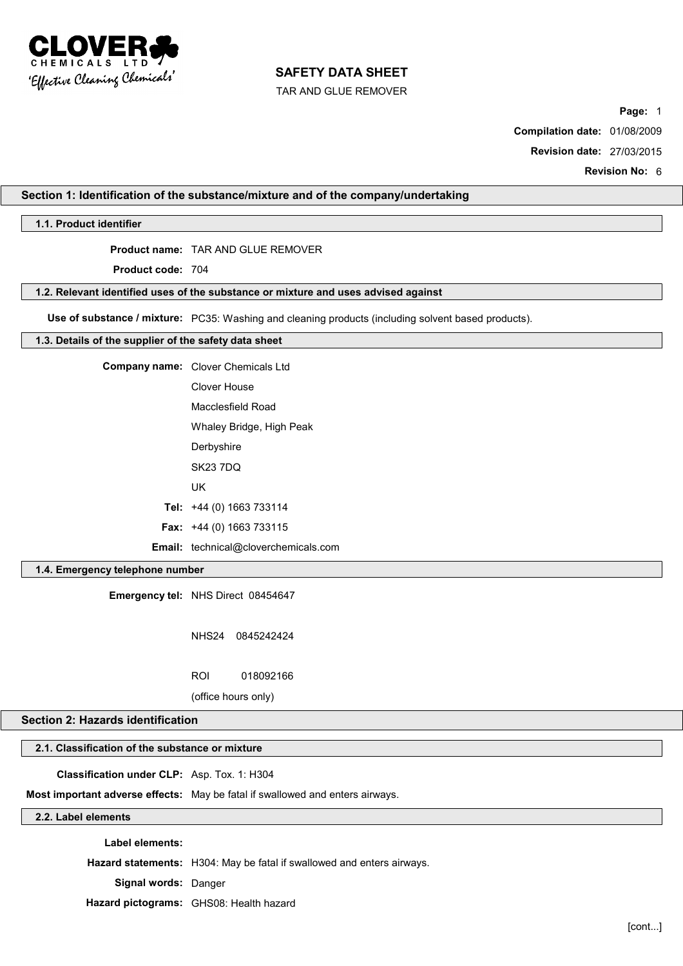

TAR AND GLUE REMOVER

**Page:** 1

**Compilation date:** 01/08/2009

**Revision date:** 27/03/2015

**Revision No:** 6

## **Section 1: Identification of the substance/mixture and of the company/undertaking**

## **1.1. Product identifier**

# **Product name:** TAR AND GLUE REMOVER

**Product code:** 704

#### **1.2. Relevant identified uses of the substance or mixture and uses advised against**

**Use of substance / mixture:** PC35: Washing and cleaning products (including solvent based products).

#### **1.3. Details of the supplier of the safety data sheet**

| <b>Company name:</b> Clover Chemicals Ltd   |  |
|---------------------------------------------|--|
| Clover House                                |  |
| Macclesfield Road                           |  |
| Whaley Bridge, High Peak                    |  |
| Derbyshire                                  |  |
| <b>SK23 7DQ</b>                             |  |
| UK                                          |  |
| Tel: $+44$ (0) 1663 733114                  |  |
| <b>Fax:</b> $+44$ (0) 1663 733115           |  |
| <b>Email:</b> technical@cloverchemicals.com |  |

## **1.4. Emergency telephone number**

**Emergency tel:** NHS Direct 08454647

NHS24 0845242424

ROI 018092166

(office hours only)

# **Section 2: Hazards identification**

# **2.1. Classification of the substance or mixture**

**Classification under CLP:** Asp. Tox. 1: H304

**Most important adverse effects:** May be fatal if swallowed and enters airways.

# **2.2. Label elements**

**Label elements:**

**Hazard statements:** H304: May be fatal if swallowed and enters airways.

**Signal words:** Danger

**Hazard pictograms:** GHS08: Health hazard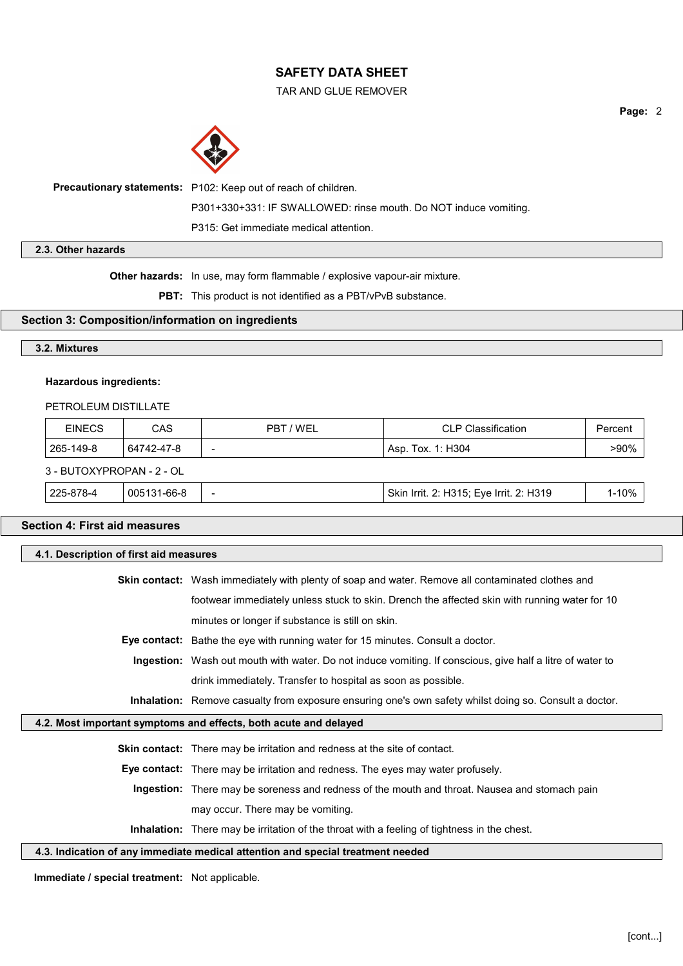TAR AND GLUE REMOVER



**Precautionary statements:** P102: Keep out of reach of children. P301+330+331: IF SWALLOWED: rinse mouth. Do NOT induce vomiting. P315: Get immediate medical attention.

# **2.3. Other hazards**

**Other hazards:** In use, may form flammable / explosive vapour-air mixture.

**PBT:** This product is not identified as a PBT/vPvB substance.

# **Section 3: Composition/information on ingredients**

# **3.2. Mixtures**

## **Hazardous ingredients:**

## PETROLEUM DISTILLATE

| <b>EINECS</b>             | CAS         | PBT / WFI | <b>CLP Classification</b>               | Percent   |
|---------------------------|-------------|-----------|-----------------------------------------|-----------|
| 265-149-8                 | 64742-47-8  | -         | Asp. Tox. 1: H304                       |           |
| 3 - BUTOXYPROPAN - 2 - OL |             |           |                                         |           |
| 225-878-4                 | 005131-66-8 | -         | Skin Irrit. 2: H315; Eye Irrit. 2: H319 | $1 - 10%$ |

# **Section 4: First aid measures**

| 4.1. Description of first aid measures         |                                                                                                               |  |  |  |
|------------------------------------------------|---------------------------------------------------------------------------------------------------------------|--|--|--|
|                                                | <b>Skin contact:</b> Wash immediately with plenty of soap and water. Remove all contaminated clothes and      |  |  |  |
|                                                | footwear immediately unless stuck to skin. Drench the affected skin with running water for 10                 |  |  |  |
|                                                | minutes or longer if substance is still on skin.                                                              |  |  |  |
|                                                | <b>Eye contact:</b> Bathe the eye with running water for 15 minutes. Consult a doctor.                        |  |  |  |
|                                                | Ingestion: Wash out mouth with water. Do not induce vomiting. If conscious, give half a litre of water to     |  |  |  |
|                                                | drink immediately. Transfer to hospital as soon as possible.                                                  |  |  |  |
|                                                | <b>Inhalation:</b> Remove casualty from exposure ensuring one's own safety whilst doing so. Consult a doctor. |  |  |  |
|                                                | 4.2. Most important symptoms and effects, both acute and delayed                                              |  |  |  |
|                                                | <b>Skin contact:</b> There may be irritation and redness at the site of contact.                              |  |  |  |
|                                                | Eye contact: There may be irritation and redness. The eyes may water profusely.                               |  |  |  |
|                                                | Ingestion: There may be soreness and redness of the mouth and throat. Nausea and stomach pain                 |  |  |  |
|                                                | may occur. There may be vomiting.                                                                             |  |  |  |
|                                                | <b>Inhalation:</b> There may be irritation of the throat with a feeling of tightness in the chest.            |  |  |  |
|                                                | 4.3. Indication of any immediate medical attention and special treatment needed                               |  |  |  |
| Immediate / special treatment: Not applicable. |                                                                                                               |  |  |  |

**Page:** 2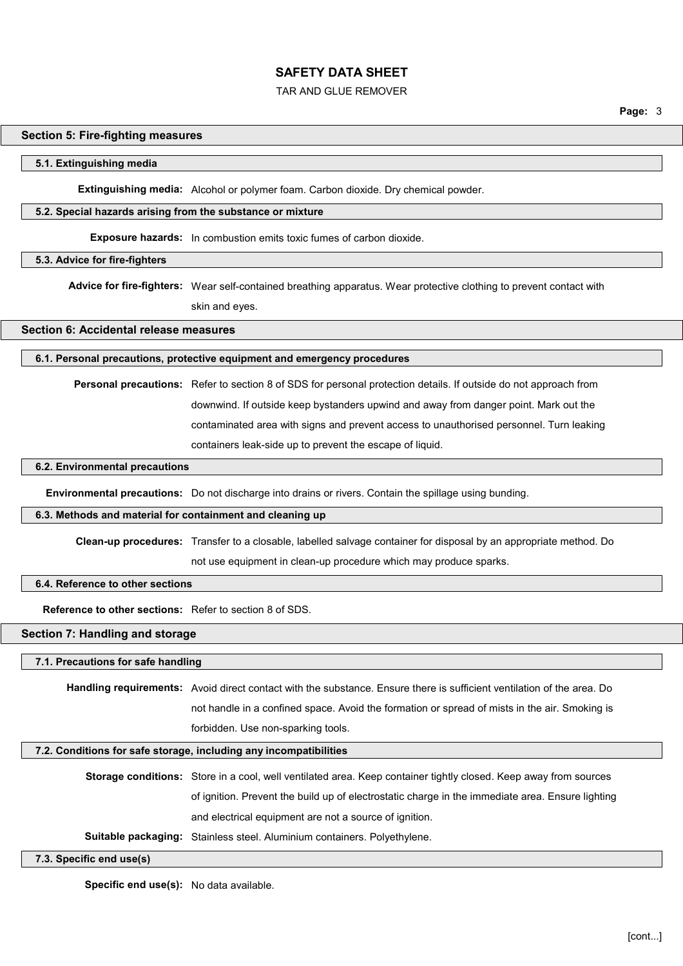#### TAR AND GLUE REMOVER

# **Section 5: Fire-fighting measures**

#### **5.1. Extinguishing media**

**Extinguishing media:** Alcohol or polymer foam. Carbon dioxide. Dry chemical powder.

#### **5.2. Special hazards arising from the substance or mixture**

**Exposure hazards:** In combustion emits toxic fumes of carbon dioxide.

#### **5.3. Advice for fire-fighters**

**Advice for fire-fighters:** Wear self-contained breathing apparatus. Wear protective clothing to prevent contact with skin and eyes.

### **Section 6: Accidental release measures**

#### **6.1. Personal precautions, protective equipment and emergency procedures**

**Personal precautions:** Refer to section 8 of SDS for personal protection details. If outside do not approach from downwind. If outside keep bystanders upwind and away from danger point. Mark out the contaminated area with signs and prevent access to unauthorised personnel. Turn leaking containers leak-side up to prevent the escape of liquid.

#### **6.2. Environmental precautions**

**Environmental precautions:** Do not discharge into drains or rivers. Contain the spillage using bunding.

#### **6.3. Methods and material for containment and cleaning up**

**Clean-up procedures:** Transfer to a closable, labelled salvage container for disposal by an appropriate method. Do not use equipment in clean-up procedure which may produce sparks.

## **6.4. Reference to other sections**

**Reference to other sections:** Refer to section 8 of SDS.

# **Section 7: Handling and storage**

#### **7.1. Precautions for safe handling**

**Handling requirements:** Avoid direct contact with the substance. Ensure there is sufficient ventilation of the area. Do not handle in a confined space. Avoid the formation or spread of mists in the air. Smoking is forbidden. Use non-sparking tools.

## **7.2. Conditions for safe storage, including any incompatibilities**

**Storage conditions:** Store in a cool, well ventilated area. Keep container tightly closed. Keep away from sources of ignition. Prevent the build up of electrostatic charge in the immediate area. Ensure lighting and electrical equipment are not a source of ignition.

**Suitable packaging:** Stainless steel. Aluminium containers. Polyethylene.

#### **7.3. Specific end use(s)**

**Specific end use(s):** No data available.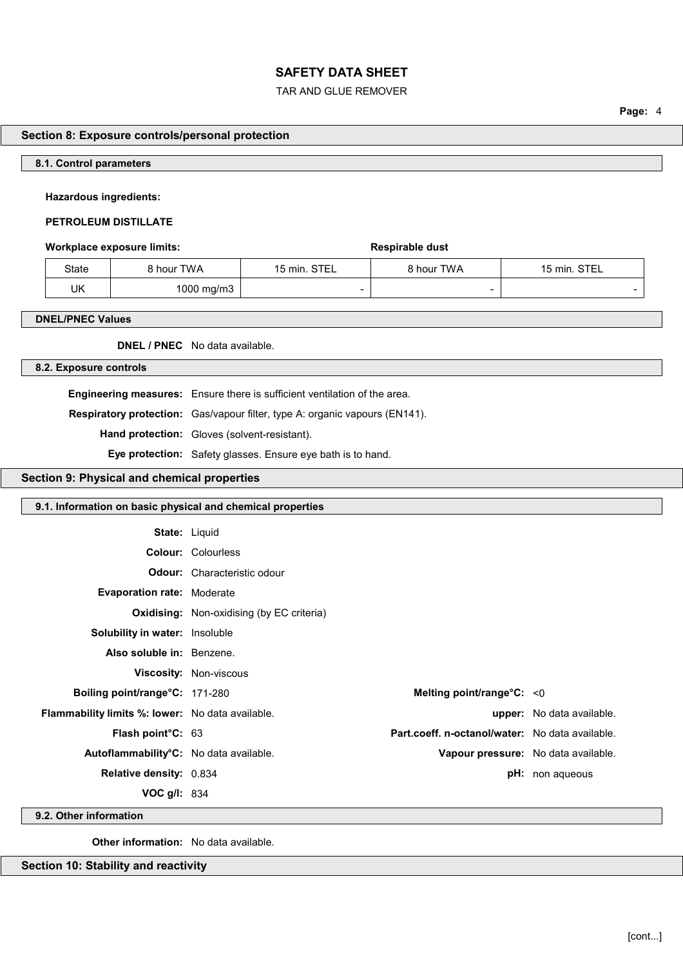## TAR AND GLUE REMOVER

**Page:** 4

## **Section 8: Exposure controls/personal protection**

#### **8.1. Control parameters**

#### **Hazardous ingredients:**

#### **PETROLEUM DISTILLATE**

#### **Workplace exposure limits: Respirable dust**

| State | 3 hour TWA | 15 min. STEL | 8 hour TWA | 15 min. STEL             |
|-------|------------|--------------|------------|--------------------------|
| UK    | 1000 mg/m3 | -            |            | $\overline{\phantom{a}}$ |

#### **DNEL/PNEC Values**

**DNEL / PNEC** No data available.

## **8.2. Exposure controls**

**Engineering measures:** Ensure there is sufficient ventilation of the area. **Respiratory protection:** Gas/vapour filter, type A: organic vapours (EN141). **Hand protection:** Gloves (solvent-resistant). **Eye protection:** Safety glasses. Ensure eye bath is to hand.

# **Section 9: Physical and chemical properties**

## **9.1. Information on basic physical and chemical properties**

| <b>State: Liquid</b>                                    |                                                  |                                                 |                                  |
|---------------------------------------------------------|--------------------------------------------------|-------------------------------------------------|----------------------------------|
|                                                         | <b>Colour: Colourless</b>                        |                                                 |                                  |
|                                                         | <b>Odour:</b> Characteristic odour               |                                                 |                                  |
| <b>Evaporation rate: Moderate</b>                       |                                                  |                                                 |                                  |
|                                                         | <b>Oxidising:</b> Non-oxidising (by EC criteria) |                                                 |                                  |
| <b>Solubility in water:</b> Insoluble                   |                                                  |                                                 |                                  |
| Also soluble in: Benzene.                               |                                                  |                                                 |                                  |
|                                                         | <b>Viscosity: Non-viscous</b>                    |                                                 |                                  |
| Boiling point/range°C: 171-280                          |                                                  | Melting point/range°C: < 0                      |                                  |
| <b>Flammability limits %: lower:</b> No data available. |                                                  |                                                 | <b>upper:</b> No data available. |
| Flash point°C: 63                                       |                                                  | Part.coeff. n-octanol/water: No data available. |                                  |
| Autoflammability <sup>°</sup> C: No data available.     |                                                  | Vapour pressure: No data available.             |                                  |
| <b>Relative density: 0.834</b>                          |                                                  |                                                 | <b>pH:</b> non aqueous           |
| VOC $g/l: 834$                                          |                                                  |                                                 |                                  |

**9.2. Other information**

**Other information:** No data available.

**Section 10: Stability and reactivity**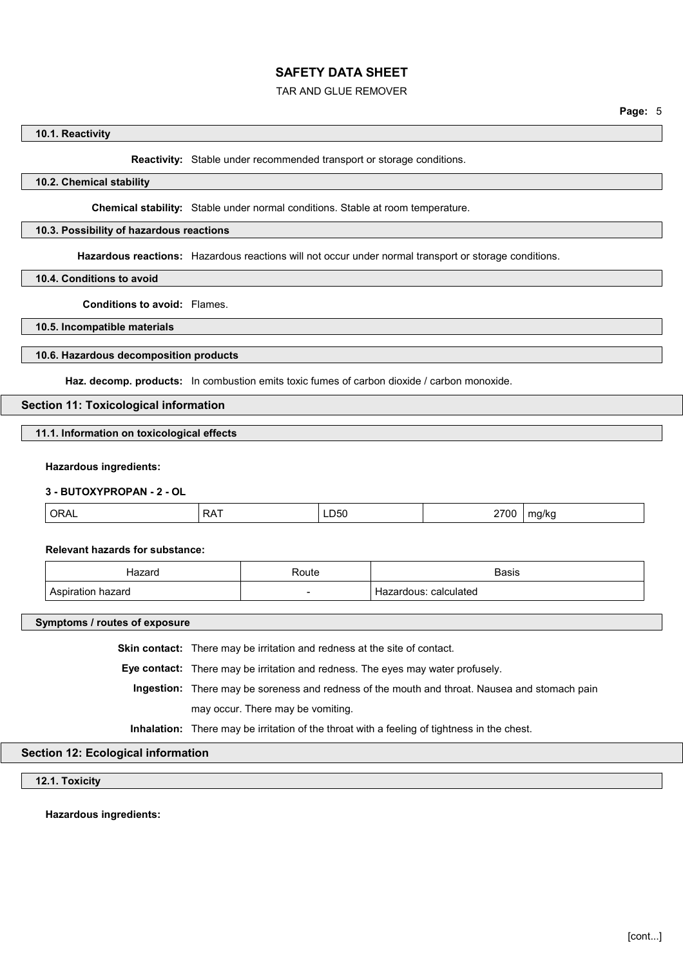#### TAR AND GLUE REMOVER

#### **10.1. Reactivity**

**Reactivity:** Stable under recommended transport or storage conditions.

## **10.2. Chemical stability**

**Chemical stability:** Stable under normal conditions. Stable at room temperature.

#### **10.3. Possibility of hazardous reactions**

**Hazardous reactions:** Hazardous reactions will not occur under normal transport or storage conditions.

## **10.4. Conditions to avoid**

**Conditions to avoid:** Flames.

**10.5. Incompatible materials**

#### **10.6. Hazardous decomposition products**

**Haz. decomp. products:** In combustion emits toxic fumes of carbon dioxide / carbon monoxide.

#### **Section 11: Toxicological information**

**11.1. Information on toxicological effects**

#### **Hazardous ingredients:**

#### **3 - BUTOXYPROPAN - 2 - OL**

| $\cap$<br>. . ب ۸۰<br>UIVIL | $\sim$ $\sim$<br>RA. | <br>$\sim$ $-$<br>700<br>-<br>$\sim$ $\sim$ | า/kc<br>. . |
|-----------------------------|----------------------|---------------------------------------------|-------------|
|                             |                      |                                             |             |

#### **Relevant hazards for substance:**

| Hazard | Route | <b>Basis</b>                   |
|--------|-------|--------------------------------|
| hazard |       | calculated<br>rdous:<br>Hazar. |

**Symptoms / routes of exposure**

**Skin contact:** There may be irritation and redness at the site of contact.

**Eye contact:** There may be irritation and redness. The eyes may water profusely.

**Ingestion:** There may be soreness and redness of the mouth and throat. Nausea and stomach pain may occur. There may be vomiting.

**Inhalation:** There may be irritation of the throat with a feeling of tightness in the chest.

## **Section 12: Ecological information**

**12.1. Toxicity**

**Hazardous ingredients:**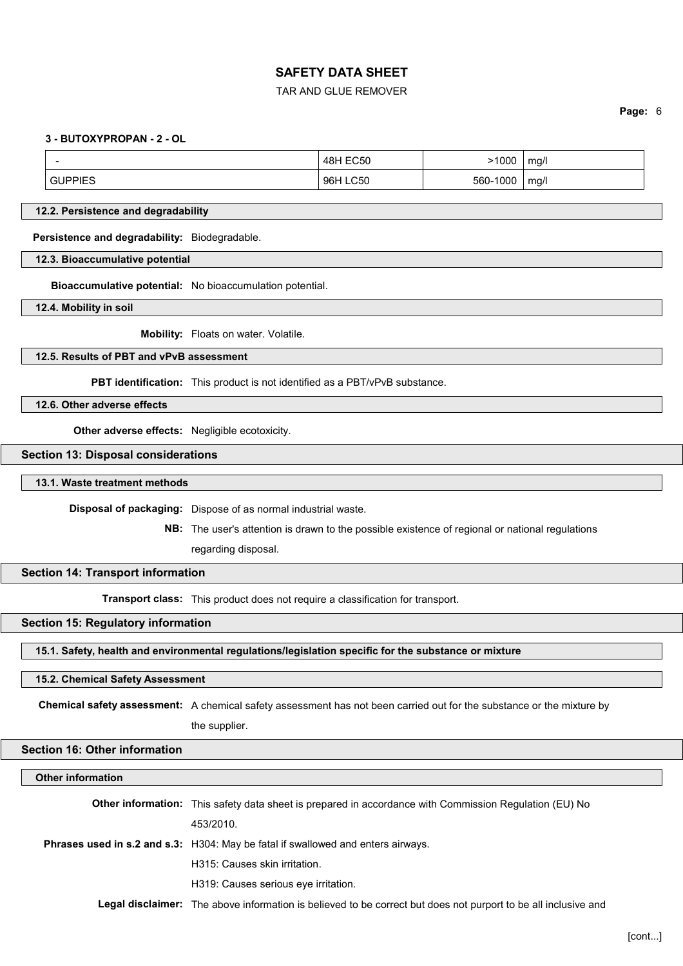#### TAR AND GLUE REMOVER

**Page:** 6

#### **3 - BUTOXYPROPAN - 2 - OL**

| -      | <b>48H EC50</b>    | 1000     | ma/l |
|--------|--------------------|----------|------|
| UPPIES | <b>LC50</b><br>96H | 560-1000 | mq/l |

#### **12.2. Persistence and degradability**

**Persistence and degradability:** Biodegradable.

**12.3. Bioaccumulative potential**

**Bioaccumulative potential:** No bioaccumulation potential.

**12.4. Mobility in soil**

**Mobility:** Floats on water. Volatile.

## **12.5. Results of PBT and vPvB assessment**

**PBT identification:** This product is not identified as a PBT/vPvB substance.

**12.6. Other adverse effects**

**Other adverse effects:** Negligible ecotoxicity.

#### **Section 13: Disposal considerations**

**13.1. Waste treatment methods**

**Disposal of packaging:** Dispose of as normal industrial waste.

**NB:** The user's attention is drawn to the possible existence of regional or national regulations

regarding disposal.

## **Section 14: Transport information**

**Transport class:** This product does not require a classification for transport.

## **Section 15: Regulatory information**

**15.1. Safety, health and environmental regulations/legislation specific for the substance or mixture**

#### **15.2. Chemical Safety Assessment**

**Chemical safety assessment:** A chemical safety assessment has not been carried out for the substance or the mixture by

the supplier.

## **Section 16: Other information**

## **Other information**

**Other information:** This safety data sheet is prepared in accordance with Commission Regulation (EU) No 453/2010. **Phrases used in s.2 and s.3:** H304: May be fatal if swallowed and enters airways. H315: Causes skin irritation. H319: Causes serious eye irritation.

**Legal disclaimer:** The above information is believed to be correct but does not purport to be all inclusive and